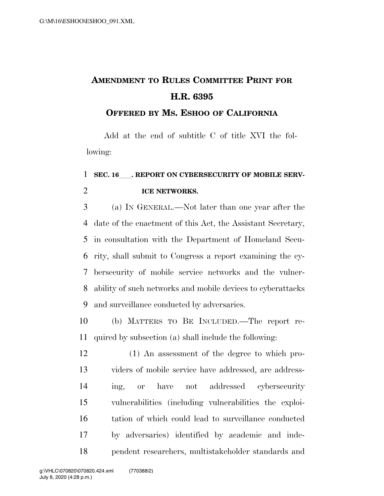## **AMENDMENT TO RULES COMMITTEE PRINT FOR H.R. 6395**

## **OFFERED BY MS. ESHOO OF CALIFORNIA**

Add at the end of subtitle C of title XVI the following:

## 1 SEC. 16 REPORT ON CYBERSECURITY OF MOBILE SERV-**ICE NETWORKS.**

 (a) IN GENERAL.—Not later than one year after the date of the enactment of this Act, the Assistant Secretary, in consultation with the Department of Homeland Secu- rity, shall submit to Congress a report examining the cy- bersecurity of mobile service networks and the vulner- ability of such networks and mobile devices to cyberattacks and surveillance conducted by adversaries.

 (b) MATTERS TO BE INCLUDED.—The report re-quired by subsection (a) shall include the following:

 (1) An assessment of the degree to which pro- viders of mobile service have addressed, are address- ing, or have not addressed cybersecurity vulnerabilities (including vulnerabilities the exploi- tation of which could lead to surveillance conducted by adversaries) identified by academic and inde-pendent researchers, multistakeholder standards and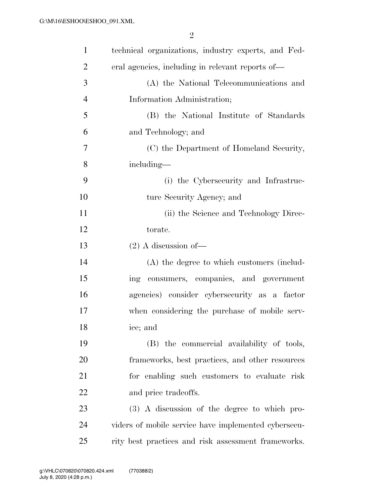| $\mathbf{1}$   | technical organizations, industry experts, and Fed-  |
|----------------|------------------------------------------------------|
| $\overline{2}$ | eral agencies, including in relevant reports of—     |
| 3              | (A) the National Telecommunications and              |
| $\overline{4}$ | Information Administration;                          |
| 5              | (B) the National Institute of Standards              |
| 6              | and Technology; and                                  |
| 7              | (C) the Department of Homeland Security,             |
| 8              | including—                                           |
| 9              | (i) the Cybersecurity and Infrastruc-                |
| 10             | ture Security Agency; and                            |
| 11             | (ii) the Science and Technology Direc-               |
| 12             | torate.                                              |
| 13             | $(2)$ A discussion of —                              |
| 14             | (A) the degree to which customers (includ-           |
| 15             | consumers, companies, and government<br>ing          |
| 16             | agencies) consider cybersecurity as a factor         |
| 17             | when considering the purchase of mobile serv-        |
| 18             | ice; and                                             |
| 19             | (B) the commercial availability of tools,            |
| <b>20</b>      | frameworks, best practices, and other resources      |
| 21             | for enabling such customers to evaluate risk         |
| 22             | and price tradeoffs.                                 |
| 23             | (3) A discussion of the degree to which pro-         |
| 24             | viders of mobile service have implemented cybersecu- |
| 25             | rity best practices and risk assessment frameworks.  |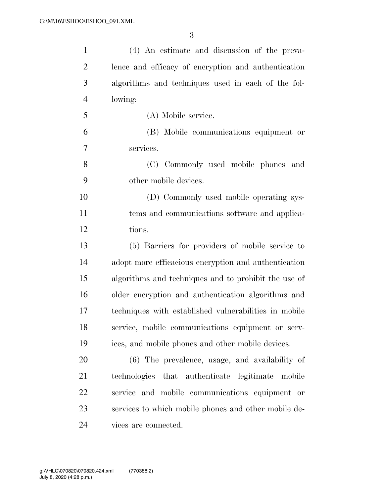| $\mathbf{1}$   | (4) An estimate and discussion of the preva-          |
|----------------|-------------------------------------------------------|
| $\overline{c}$ | lence and efficacy of encryption and authentication   |
| 3              | algorithms and techniques used in each of the fol-    |
| $\overline{4}$ | lowing:                                               |
| 5              | (A) Mobile service.                                   |
| 6              | (B) Mobile communications equipment or                |
| 7              | services.                                             |
| 8              | (C) Commonly used mobile phones and                   |
| 9              | other mobile devices.                                 |
| 10             | (D) Commonly used mobile operating sys-               |
| 11             | tems and communications software and applica-         |
| 12             | tions.                                                |
| 13             | (5) Barriers for providers of mobile service to       |
| 14             | adopt more efficacious encryption and authentication  |
| 15             | algorithms and techniques and to prohibit the use of  |
| 16             | older encryption and authentication algorithms and    |
| 17             | techniques with established vulnerabilities in mobile |
| 18             | service, mobile communications equipment or serv-     |
| 19             | ices, and mobile phones and other mobile devices.     |
| 20             | (6) The prevalence, usage, and availability of        |
| 21             | technologies that authenticate legitimate mobile      |
| 22             | service and mobile communications equipment or        |
| 23             | services to which mobile phones and other mobile de-  |
| 24             | vices are connected.                                  |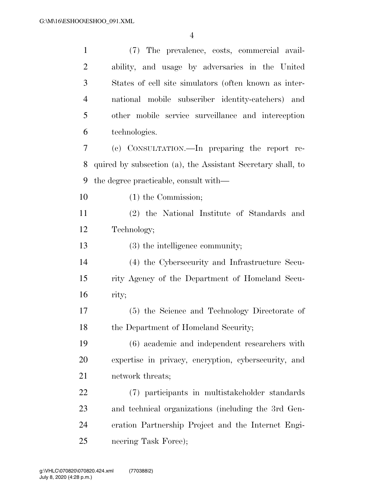| $\mathbf{1}$   | (7) The prevalence, costs, commercial avail-                |
|----------------|-------------------------------------------------------------|
| $\overline{2}$ | ability, and usage by adversaries in the United             |
| 3              | States of cell site simulators (often known as inter-       |
| $\overline{4}$ | national mobile subscriber identity-catchers) and           |
| 5              | other mobile service surveillance and interception          |
| 6              | technologies.                                               |
| 7              | (c) CONSULTATION.—In preparing the report re-               |
| 8              | quired by subsection (a), the Assistant Secretary shall, to |
| 9              | the degree practicable, consult with—                       |
| 10             | $(1)$ the Commission;                                       |
| 11             | (2) the National Institute of Standards and                 |
| 12             | Technology;                                                 |
| 13             | $(3)$ the intelligence community;                           |
| 14             | (4) the Cybersecurity and Infrastructure Secu-              |
| 15             | rity Agency of the Department of Homeland Secu-             |
| 16             | rity;                                                       |
| 17             | (5) the Science and Technology Directorate of               |
| 18             | the Department of Homeland Security;                        |
| 19             | (6) academic and independent researchers with               |
| 20             | expertise in privacy, encryption, cybersecurity, and        |
| 21             | network threats;                                            |
| 22             | (7) participants in multistakeholder standards              |
| 23             | and technical organizations (including the 3rd Gen-         |
| 24             | eration Partnership Project and the Internet Engi-          |
| 25             | neering Task Force);                                        |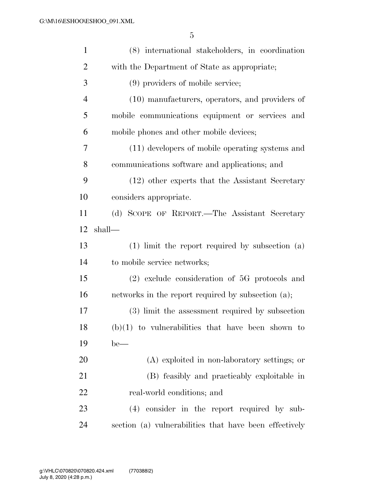| $\mathbf{1}$   | (8) international stakeholders, in coordination     |
|----------------|-----------------------------------------------------|
| $\overline{2}$ | with the Department of State as appropriate;        |
| 3              | (9) providers of mobile service;                    |
| $\overline{4}$ | (10) manufacturers, operators, and providers of     |
| 5              | mobile communications equipment or services and     |
| 6              | mobile phones and other mobile devices;             |
| 7              | (11) developers of mobile operating systems and     |
| 8              | communications software and applications; and       |
| 9              | (12) other experts that the Assistant Secretary     |
| 10             | considers appropriate.                              |
| 11             | (d) SCOPE OF REPORT.—The Assistant Secretary        |
| 12             | shall—                                              |
| 13             | $(1)$ limit the report required by subsection $(a)$ |
| 14             | to mobile service networks;                         |
| 15             | $(2)$ exclude consideration of 5G protocols and     |
| 16             | networks in the report required by subsection (a);  |
| 17             | (3) limit the assessment required by subsection     |
| 18             |                                                     |
|                | $(b)(1)$ to vulnerabilities that have been shown to |
| 19             | $be$ —                                              |
| 20             | (A) exploited in non-laboratory settings; or        |
| 21             | (B) feasibly and practicably exploitable in         |
| 22             | real-world conditions; and                          |
| 23             | (4) consider in the report required by sub-         |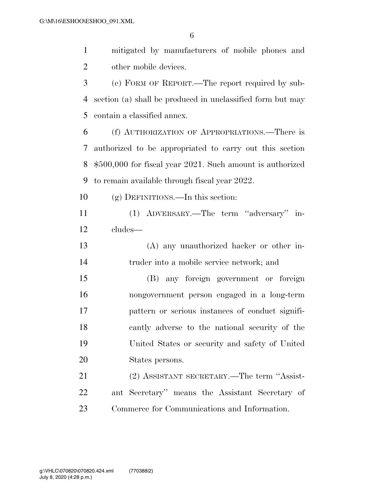mitigated by manufacturers of mobile phones and other mobile devices. (e) FORM OF REPORT.—The report required by sub- section (a) shall be produced in unclassified form but may contain a classified annex. (f) AUTHORIZATION OF APPROPRIATIONS.—There is authorized to be appropriated to carry out this section \$500,000 for fiscal year 2021. Such amount is authorized to remain available through fiscal year 2022. (g) DEFINITIONS.—In this section:

 (1) ADVERSARY.—The term ''adversary'' in-cludes—

 (A) any unauthorized hacker or other in-truder into a mobile service network; and

 (B) any foreign government or foreign nongovernment person engaged in a long-term pattern or serious instances of conduct signifi- cantly adverse to the national security of the United States or security and safety of United States persons.

 (2) ASSISTANT SECRETARY.—The term ''Assist- ant Secretary'' means the Assistant Secretary of Commerce for Communications and Information.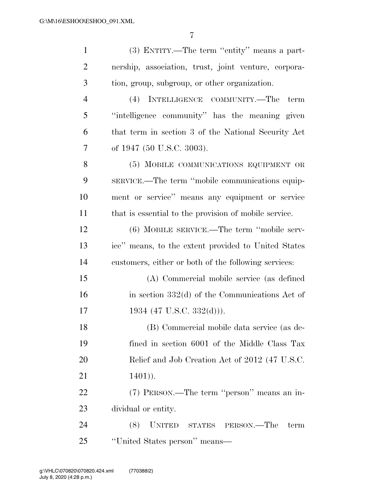| $\mathbf{1}$   | (3) ENTITY.—The term "entity" means a part-           |
|----------------|-------------------------------------------------------|
| $\overline{2}$ | nership, association, trust, joint venture, corpora-  |
| 3              | tion, group, subgroup, or other organization.         |
| 4              | (4)<br>INTELLIGENCE COMMUNITY.-The<br>term            |
| 5              | "intelligence community" has the meaning given        |
| 6              | that term in section 3 of the National Security Act   |
| 7              | of 1947 (50 U.S.C. 3003).                             |
| 8              | (5) MOBILE COMMUNICATIONS EQUIPMENT OR                |
| 9              | SERVICE.—The term "mobile communications equip-       |
| 10             | ment or service" means any equipment or service       |
| 11             | that is essential to the provision of mobile service. |
| 12             | (6) MOBILE SERVICE.—The term "mobile serv-            |
| 13             | ice" means, to the extent provided to United States   |
| 14             | customers, either or both of the following services:  |
| 15             | (A) Commercial mobile service (as defined             |
| 16             | in section $332(d)$ of the Communications Act of      |
| 17             | 1934 (47 U.S.C. 332(d))).                             |
| 18             | (B) Commercial mobile data service (as de-            |
| 19             | fined in section 6001 of the Middle Class Tax         |
| 20             | Relief and Job Creation Act of 2012 (47 U.S.C.        |
| 21             | $1401)$ .                                             |
| 22             | (7) PERSON.—The term "person" means an in-            |
| 23             | dividual or entity.                                   |
| 24             | (8)<br><b>UNITED</b><br>STATES PERSON.—The<br>term    |
| 25             | "United States person" means—                         |